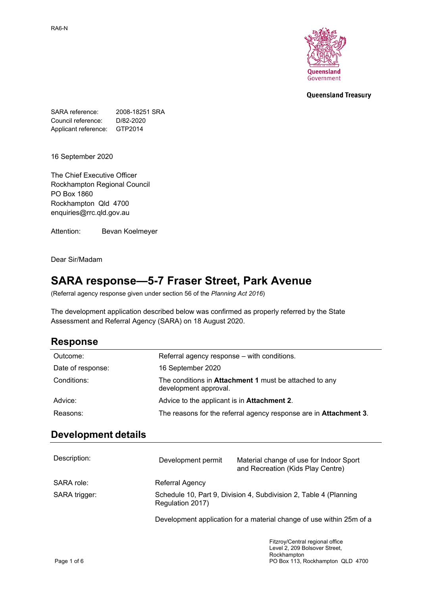

#### **Queensland Treasury**

SARA reference: 2008-18251 SRA Council reference: D/82-2020 Applicant reference: GTP2014

16 September 2020

The Chief Executive Officer Rockhampton Regional Council PO Box 1860 Rockhampton Qld 4700 enquiries@rrc.qld.gov.au

Attention: Bevan Koelmeyer

Dear Sir/Madam

## **SARA response—5-7 Fraser Street, Park Avenue**

(Referral agency response given under section 56 of the *Planning Act 2016*)

The development application described below was confirmed as properly referred by the State Assessment and Referral Agency (SARA) on 18 August 2020.

## **Response**

| Outcome:          | Referral agency response – with conditions.                                     |
|-------------------|---------------------------------------------------------------------------------|
| Date of response: | 16 September 2020                                                               |
| Conditions:       | The conditions in Attachment 1 must be attached to any<br>development approval. |
| Advice:           | Advice to the applicant is in Attachment 2.                                     |
| Reasons:          | The reasons for the referral agency response are in <b>Attachment 3</b> .       |

### **Development details**

| Description:  | Development permit | Material change of use for Indoor Sport<br>and Recreation (Kids Play Centre) |  |
|---------------|--------------------|------------------------------------------------------------------------------|--|
| SARA role:    | Referral Agency    |                                                                              |  |
| SARA trigger: | Regulation 2017)   | Schedule 10, Part 9, Division 4, Subdivision 2, Table 4 (Planning            |  |
|               |                    | Development application for a material change of use within 25m of a         |  |
|               |                    | Fitzroy/Central regional office                                              |  |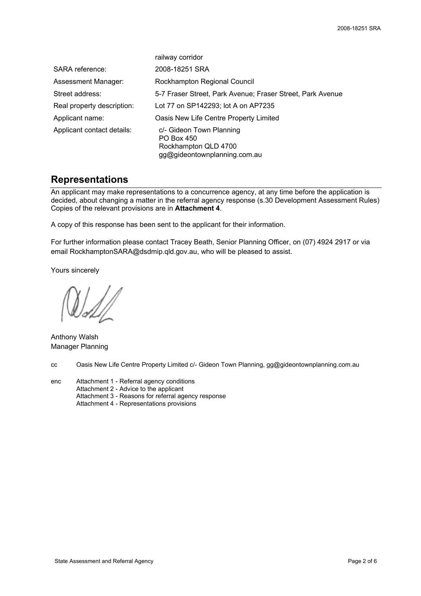|                            | railway corridor                                                                               |
|----------------------------|------------------------------------------------------------------------------------------------|
| SARA reference:            | 2008-18251 SRA                                                                                 |
| Assessment Manager:        | Rockhampton Regional Council                                                                   |
| Street address:            | 5-7 Fraser Street, Park Avenue; Fraser Street, Park Avenue                                     |
| Real property description: | Lot 77 on SP142293; lot A on AP7235                                                            |
| Applicant name:            | Oasis New Life Centre Property Limited                                                         |
| Applicant contact details: | c/- Gideon Town Planning<br>PO Box 450<br>Rockhampton QLD 4700<br>gg@gideontownplanning.com.au |

### **Representations**

An applicant may make representations to a concurrence agency, at any time before the application is decided, about changing a matter in the referral agency response (s.30 Development Assessment Rules) Copies of the relevant provisions are in **Attachment 4**.

A copy of this response has been sent to the applicant for their information.

For further information please contact Tracey Beath, Senior Planning Officer, on (07) 4924 2917 or via email RockhamptonSARA@dsdmip.qld.gov.au, who will be pleased to assist.

Yours sincerely

Anthony Walsh Manager Planning

cc Oasis New Life Centre Property Limited c/- Gideon Town Planning, gg@gideontownplanning.com.au

enc Attachment 1 - Referral agency conditions Attachment 2 - Advice to the applicant Attachment 3 - Reasons for referral agency response Attachment 4 - Representations provisions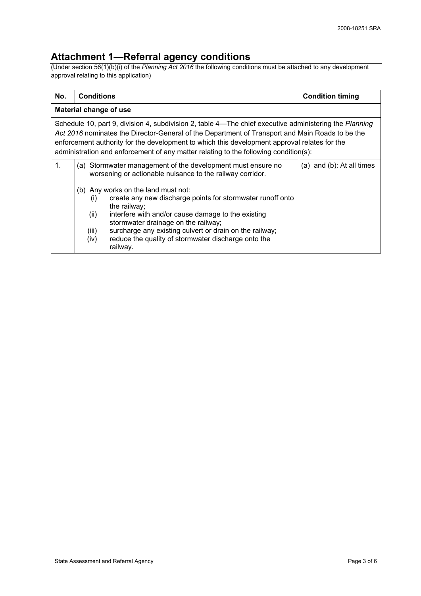## **Attachment 1—Referral agency conditions**

(Under section 56(1)(b)(i) of the *Planning Act 2016* the following conditions must be attached to any development approval relating to this application)

| No. | <b>Conditions</b>                                                                                                                                                                                                                                                                                                                                                                                                                                                                                           | <b>Condition timing</b>   |
|-----|-------------------------------------------------------------------------------------------------------------------------------------------------------------------------------------------------------------------------------------------------------------------------------------------------------------------------------------------------------------------------------------------------------------------------------------------------------------------------------------------------------------|---------------------------|
|     | Material change of use                                                                                                                                                                                                                                                                                                                                                                                                                                                                                      |                           |
|     | Schedule 10, part 9, division 4, subdivision 2, table 4—The chief executive administering the Planning<br>Act 2016 nominates the Director-General of the Department of Transport and Main Roads to be the<br>enforcement authority for the development to which this development approval relates for the<br>administration and enforcement of any matter relating to the following condition(s):                                                                                                           |                           |
| 1.  | Stormwater management of the development must ensure no<br>(a)<br>worsening or actionable nuisance to the railway corridor.<br>(b) Any works on the land must not:<br>create any new discharge points for stormwater runoff onto<br>(i)<br>the railway;<br>(ii)<br>interfere with and/or cause damage to the existing<br>stormwater drainage on the railway;<br>surcharge any existing culvert or drain on the railway;<br>(iii)<br>reduce the quality of stormwater discharge onto the<br>(iv)<br>railway. | (a) and (b): At all times |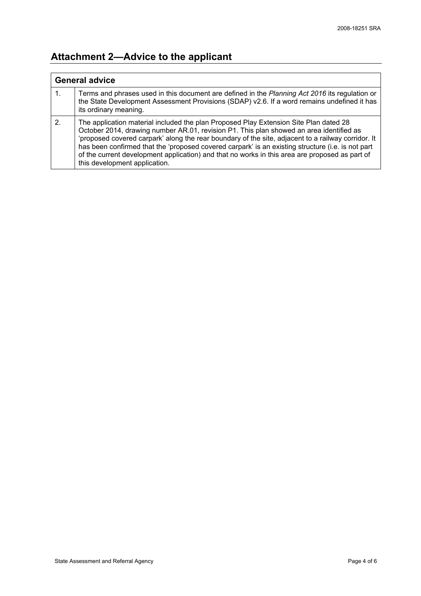# **Attachment 2—Advice to the applicant**

| <b>General advice</b> |                                                                                                                                                                                                                                                                                                                                                                                                                                                                                                                                |
|-----------------------|--------------------------------------------------------------------------------------------------------------------------------------------------------------------------------------------------------------------------------------------------------------------------------------------------------------------------------------------------------------------------------------------------------------------------------------------------------------------------------------------------------------------------------|
| 1.                    | Terms and phrases used in this document are defined in the Planning Act 2016 its regulation or<br>the State Development Assessment Provisions (SDAP) v2.6. If a word remains undefined it has<br>its ordinary meaning.                                                                                                                                                                                                                                                                                                         |
| 2.                    | The application material included the plan Proposed Play Extension Site Plan dated 28<br>October 2014, drawing number AR.01, revision P1. This plan showed an area identified as<br>'proposed covered carpark' along the rear boundary of the site, adjacent to a railway corridor. It<br>has been confirmed that the 'proposed covered carpark' is an existing structure (i.e. is not part<br>of the current development application) and that no works in this area are proposed as part of<br>this development application. |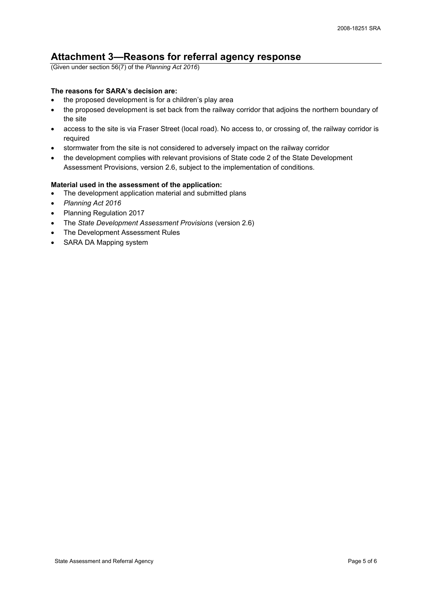## **Attachment 3—Reasons for referral agency response**

(Given under section 56(7) of the *Planning Act 2016*)

#### **The reasons for SARA's decision are:**

- the proposed development is for a children's play area
- the proposed development is set back from the railway corridor that adjoins the northern boundary of the site
- access to the site is via Fraser Street (local road). No access to, or crossing of, the railway corridor is required
- stormwater from the site is not considered to adversely impact on the railway corridor
- the development complies with relevant provisions of State code 2 of the State Development Assessment Provisions, version 2.6, subject to the implementation of conditions.

#### **Material used in the assessment of the application:**

- The development application material and submitted plans
- *Planning Act 2016*
- Planning Regulation 2017
- The *State Development Assessment Provisions* (version 2.6)
- The Development Assessment Rules
- SARA DA Mapping system